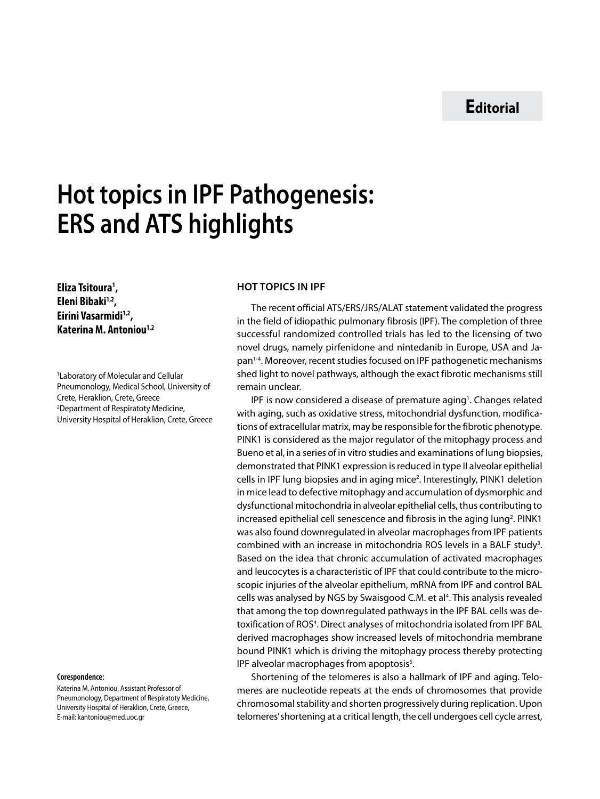## **Hot topics in IPF Pathogenesis: ERS and ATS highlights**

**Eliza Tsitoura1 , Eleni Bibaki1,2, Eirini Vasarmidi1,2, Katerina M. Antoniou1,2**

1 Laboratory of Molecular and Cellular Pneumonology, Medical School, University of Crete, Heraklion, Crete, Greece 2 Department of Respiratoty Medicine, University Hospital of Heraklion, Crete, Greece

## **Corespondence:**

Katerina M. Antoniou, Assistant Professor of Pneumonology, Department of Respiratoty Medicine, University Hospital of Heraklion, Crete, Greece, E-mail: kantoniou@med.uoc.gr

## **HOT TOPICS IN IPF**

The recent official ATS/ERS/JRS/ALAT statement validated the progress in the field of idiopathic pulmonary fibrosis (IPF). The completion of three successful randomized controlled trials has led to the licensing of two novel drugs, namely pirfenidone and nintedanib in Europe, USA and Japan1-4. Moreover, recent studies focused on IPF pathogenetic mechanisms shed light to novel pathways, although the exact fibrotic mechanisms still remain unclear.

IPF is now considered a disease of premature aging<sup>1</sup>. Changes related with aging, such as oxidative stress, mitochondrial dysfunction, modifications of extracellular matrix, may be responsible for the fibrotic phenotype. PINK1 is considered as the major regulator of the mitophagy process and Bueno et al, in a series of in vitro studies and examinations of lung biopsies, demonstrated that PINK1 expression is reduced in type II alveolar epithelial cells in IPF lung biopsies and in aging mice<sup>2</sup>. Interestingly, PINK1 deletion in mice lead to defective mitophagy and accumulation of dysmorphic and dysfunctional mitochondria in alveolar epithelial cells, thus contributing to increased epithelial cell senescence and fibrosis in the aging lung<sup>2</sup>. PINK1 was also found downregulated in alveolar macrophages from IPF patients combined with an increase in mitochondria ROS levels in a BALF study<sup>3</sup>. Based on the idea that chronic accumulation of activated macrophages and leucocytes is a characteristic of IPF that could contribute to the microscopic injuries of the alveolar epithelium, mRNA from IPF and control BAL cells was analysed by NGS by Swaisgood C.M. et al<sup>4</sup>. This analysis revealed that among the top downregulated pathways in the IPF BAL cells was detoxification of ROS<sup>4</sup>. Direct analyses of mitochondria isolated from IPF BAL derived macrophages show increased levels of mitochondria membrane bound PINK1 which is driving the mitophagy process thereby protecting IPF alveolar macrophages from apoptosis<sup>5</sup>.

Shortening of the telomeres is also a hallmark of IPF and aging. Telomeres are nucleotide repeats at the ends of chromosomes that provide chromosomal stability and shorten progressively during replication. Upon telomeres' shortening at a critical length, the cell undergoes cell cycle arrest,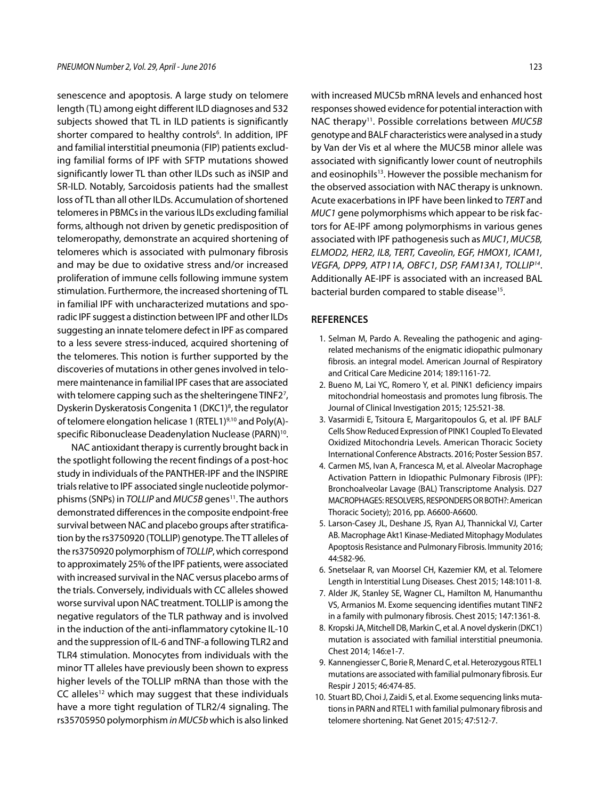senescence and apoptosis. A large study on telomere length (TL) among eight different ILD diagnoses and 532 subjects showed that TL in ILD patients is significantly shorter compared to healthy controls<sup>6</sup>. In addition, IPF and familial interstitial pneumonia (FIP) patients excluding familial forms of IPF with SFTP mutations showed significantly lower TL than other ILDs such as iNSIP and SR-ILD. Notably, Sarcoidosis patients had the smallest loss of TL than all other ILDs. Accumulation of shortened telomeres in PBMCs in the various ILDs excluding familial forms, although not driven by genetic predisposition of telomeropathy, demonstrate an acquired shortening of telomeres which is associated with pulmonary fibrosis and may be due to oxidative stress and/or increased proliferation of immune cells following immune system stimulation. Furthermore, the increased shortening of TL in familial IPF with uncharacterized mutations and sporadic IPF suggest a distinction between IPF and other ILDs suggesting an innate telomere defect in IPF as compared to a less severe stress-induced, acquired shortening of the telomeres. This notion is further supported by the discoveries of mutations in other genes involved in telomere maintenance in familial IPF cases that are associated with telomere capping such as the shelteringene TINF27 , Dyskerin Dyskeratosis Congenita 1 (DKC1)<sup>8</sup>, the regulator of telomere elongation helicase 1 (RTEL1)9,10 and Poly(A) specific Ribonuclease Deadenylation Nuclease (PARN)<sup>10</sup>.

NAC antioxidant therapy is currently brought back in the spotlight following the recent findings of a post-hoc study in individuals of the PANTHER-IPF and the INSPIRE trials relative to IPF associated single nucleotide polymorphisms (SNPs) in *TOLLIP* and *MUC5B* genes<sup>11</sup>. The authors demonstrated differences in the composite endpoint-free survival between NAC and placebo groups after stratification by the rs3750920 (TOLLIP) genotype. The TT alleles of the rs3750920 polymorphism of *TOLLIP*, which correspond to approximately 25% of the IPF patients, were associated with increased survival in the NAC versus placebo arms of the trials. Conversely, individuals with CC alleles showed worse survival upon NAC treatment. TOLLIP is among the negative regulators of the TLR pathway and is involved in the induction of the anti-inflammatory cytokine IL-10 and the suppression of IL-6 and TNF-a following TLR2 and TLR4 stimulation. Monocytes from individuals with the minor TT alleles have previously been shown to express higher levels of the TOLLIP mRNA than those with the  $CC$  alleles<sup>12</sup> which may suggest that these individuals have a more tight regulation of TLR2/4 signaling. The rs35705950 polymorphism *in MUC5b* which is also linked

with increased MUC5b mRNA levels and enhanced host responses showed evidence for potential interaction with NAC therapy<sup>11</sup>. Possible correlations between *MUC5B* genotype and BALF characteristics were analysed in a study by Van der Vis et al where the MUC5B minor allele was associated with significantly lower count of neutrophils and eosinophils<sup>13</sup>. However the possible mechanism for the observed association with NAC therapy is unknown. Acute exacerbations in IPF have been linked to *TERT* and *MUC1* gene polymorphisms which appear to be risk factors for AE-IPF among polymorphisms in various genes associated with IPF pathogenesis such as *MUC1, MUC5B, ELMOD2, HER2, IL8, TERT, Caveolin, EGF, HMOX1, ICAM1, VEGFA, DPP9, ATP11A, OBFC1, DSP, FAM13A1, TOLLIP14*. Additionally AE-IPF is associated with an increased BAL bacterial burden compared to stable disease<sup>15</sup>.

## **REFERENCES**

- 1. Selman M, Pardo A. Revealing the pathogenic and agingrelated mechanisms of the enigmatic idiopathic pulmonary fibrosis. an integral model. American Journal of Respiratory and Critical Care Medicine 2014; 189:1161-72.
- 2. Bueno M, Lai YC, Romero Y, et al. PINK1 deficiency impairs mitochondrial homeostasis and promotes lung fibrosis. The Journal of Clinical Investigation 2015; 125:521-38.
- 3. Vasarmidi E, Tsitoura E, Margaritopoulos G, et al. IPF BALF Cells Show Reduced Expression of PINK1 Coupled To Elevated Oxidized Mitochondria Levels. American Thoracic Society International Conference Abstracts. 2016; Poster Session B57.
- 4. Carmen MS, Ivan A, Francesca M, et al. Alveolar Macrophage Activation Pattern in Idiopathic Pulmonary Fibrosis (IPF): Bronchoalveolar Lavage (BAL) Transcriptome Analysis. D27 MACROPHAGES: RESOLVERS, RESPONDERS OR BOTH?: American Thoracic Society); 2016, pp. A6600-A6600.
- 5. Larson-Casey JL, Deshane JS, Ryan AJ, Thannickal VJ, Carter AB. Macrophage Akt1 Kinase-Mediated Mitophagy Modulates Apoptosis Resistance and Pulmonary Fibrosis. Immunity 2016; 44:582-96.
- 6. Snetselaar R, van Moorsel CH, Kazemier KM, et al. Telomere Length in Interstitial Lung Diseases. Chest 2015; 148:1011-8.
- 7. Alder JK, Stanley SE, Wagner CL, Hamilton M, Hanumanthu VS, Armanios M. Exome sequencing identifies mutant TINF2 in a family with pulmonary fibrosis. Chest 2015; 147:1361-8.
- 8. Kropski JA, Mitchell DB, Markin C, et al. A novel dyskerin (DKC1) mutation is associated with familial interstitial pneumonia. Chest 2014; 146:e1-7.
- 9. Kannengiesser C, Borie R, Menard C, et al. Heterozygous RTEL1 mutations are associated with familial pulmonary fibrosis. Eur Respir J 2015; 46:474-85.
- 10. Stuart BD, Choi J, Zaidi S, et al. Exome sequencing links mutations in PARN and RTEL1 with familial pulmonary fibrosis and telomere shortening. Nat Genet 2015; 47:512-7.